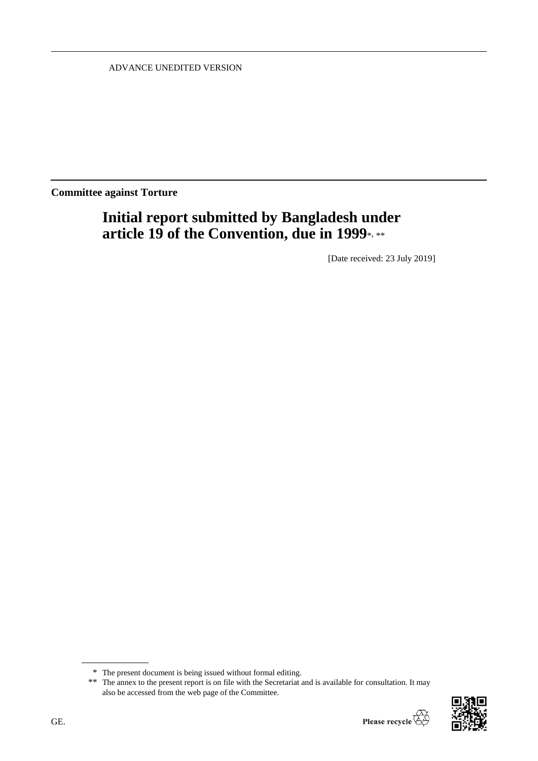ADVANCE UNEDITED VERSION

**Committee against Torture**

# **Initial report submitted by Bangladesh under article 19 of the Convention, due in 1999**\*, \*\*

[Date received: 23 July 2019]

<sup>\*\*</sup> The annex to the present report is on file with the Secretariat and is available for consultation. It may also be accessed from the web page of the Committee.



<sup>\*</sup> The present document is being issued without formal editing.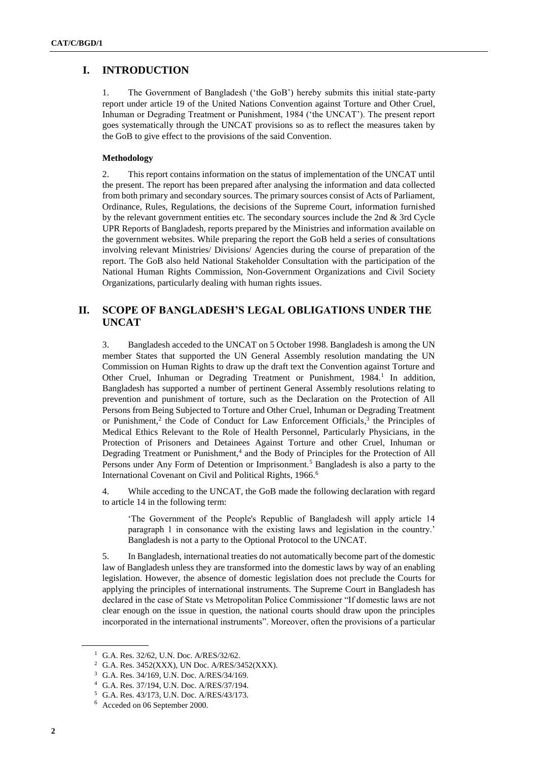## **I. INTRODUCTION**

1. The Government of Bangladesh ('the GoB') hereby submits this initial state-party report under article 19 of the United Nations Convention against Torture and Other Cruel, Inhuman or Degrading Treatment or Punishment, 1984 ('the UNCAT'). The present report goes systematically through the UNCAT provisions so as to reflect the measures taken by the GoB to give effect to the provisions of the said Convention.

## **Methodology**

2. This report contains information on the status of implementation of the UNCAT until the present. The report has been prepared after analysing the information and data collected from both primary and secondary sources. The primary sources consist of Acts of Parliament, Ordinance, Rules, Regulations, the decisions of the Supreme Court, information furnished by the relevant government entities etc. The secondary sources include the 2nd & 3rd Cycle UPR Reports of Bangladesh, reports prepared by the Ministries and information available on the government websites. While preparing the report the GoB held a series of consultations involving relevant Ministries/ Divisions/ Agencies during the course of preparation of the report. The GoB also held National Stakeholder Consultation with the participation of the National Human Rights Commission, Non-Government Organizations and Civil Society Organizations, particularly dealing with human rights issues.

# **II. SCOPE OF BANGLADESH'S LEGAL OBLIGATIONS UNDER THE UNCAT**

3. Bangladesh acceded to the UNCAT on 5 October 1998. Bangladesh is among the UN member States that supported the UN General Assembly resolution mandating the UN Commission on Human Rights to draw up the draft text the Convention against Torture and Other Cruel, Inhuman or Degrading Treatment or Punishment, 1984.<sup>1</sup> In addition, Bangladesh has supported a number of pertinent General Assembly resolutions relating to prevention and punishment of torture, such as the Declaration on the Protection of All Persons from Being Subjected to Torture and Other Cruel, Inhuman or Degrading Treatment or Punishment,<sup>2</sup> the Code of Conduct for Law Enforcement Officials,<sup>3</sup> the Principles of Medical Ethics Relevant to the Role of Health Personnel, Particularly Physicians, in the Protection of Prisoners and Detainees Against Torture and other Cruel, Inhuman or Degrading Treatment or Punishment, 4 and the Body of Principles for the Protection of All Persons under Any Form of Detention or Imprisonment.<sup>5</sup> Bangladesh is also a party to the International Covenant on Civil and Political Rights, 1966.<sup>6</sup>

4. While acceding to the UNCAT, the GoB made the following declaration with regard to article 14 in the following term:

'The Government of the People's Republic of Bangladesh will apply article 14 paragraph 1 in consonance with the existing laws and legislation in the country.' Bangladesh is not a party to the Optional Protocol to the UNCAT.

5. In Bangladesh, international treaties do not automatically become part of the domestic law of Bangladesh unless they are transformed into the domestic laws by way of an enabling legislation. However, the absence of domestic legislation does not preclude the Courts for applying the principles of international instruments. The Supreme Court in Bangladesh has declared in the case of State vs Metropolitan Police Commissioner "If domestic laws are not clear enough on the issue in question, the national courts should draw upon the principles incorporated in the international instruments". Moreover, often the provisions of a particular

<sup>1</sup> G.A. Res. 32/62, U.N. Doc. A/RES/32/62.

<sup>2</sup> G.A. Res. 3452(XXX), UN Doc. A/RES/3452(XXX).

<sup>3</sup> G.A. Res. 34/169, U.N. Doc. A/RES/34/169.

<sup>4</sup> G.A. Res. 37/194, U.N. Doc. A/RES/37/194.

<sup>5</sup> G.A. Res. 43/173, U.N. Doc. A/RES/43/173.

<sup>6</sup> Acceded on 06 September 2000.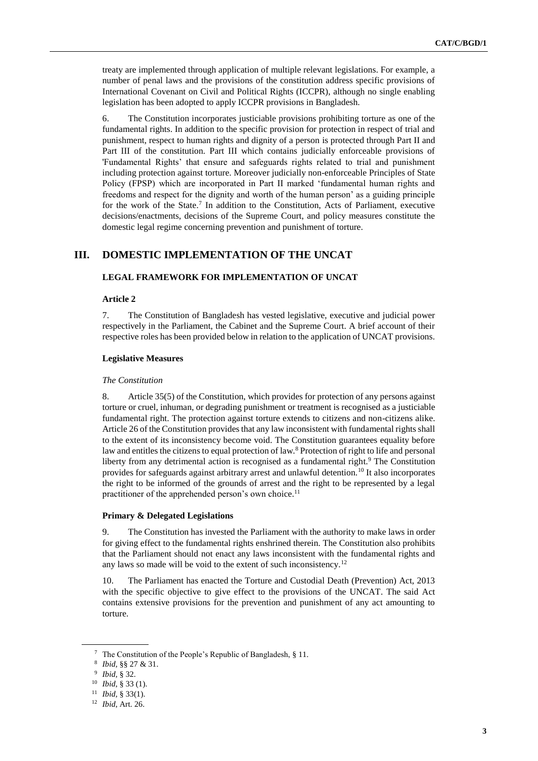treaty are implemented through application of multiple relevant legislations. For example, a number of penal laws and the provisions of the constitution address specific provisions of International Covenant on Civil and Political Rights (ICCPR), although no single enabling legislation has been adopted to apply ICCPR provisions in Bangladesh.

6. The Constitution incorporates justiciable provisions prohibiting torture as one of the fundamental rights. In addition to the specific provision for protection in respect of trial and punishment, respect to human rights and dignity of a person is protected through Part II and Part III of the constitution. Part III which contains judicially enforceable provisions of 'Fundamental Rights' that ensure and safeguards rights related to trial and punishment including protection against torture. Moreover judicially non-enforceable Principles of State Policy (FPSP) which are incorporated in Part II marked 'fundamental human rights and freedoms and respect for the dignity and worth of the human person' as a guiding principle for the work of the State.<sup>7</sup> In addition to the Constitution, Acts of Parliament, executive decisions/enactments, decisions of the Supreme Court, and policy measures constitute the domestic legal regime concerning prevention and punishment of torture.

# **III. DOMESTIC IMPLEMENTATION OF THE UNCAT**

## **LEGAL FRAMEWORK FOR IMPLEMENTATION OF UNCAT**

#### **Article 2**

7. The Constitution of Bangladesh has vested legislative, executive and judicial power respectively in the Parliament, the Cabinet and the Supreme Court. A brief account of their respective roles has been provided below in relation to the application of UNCAT provisions.

#### **Legislative Measures**

#### *The Constitution*

8. Article 35(5) of the Constitution, which provides for protection of any persons against torture or cruel, inhuman, or degrading punishment or treatment is recognised as a justiciable fundamental right. The protection against torture extends to citizens and non-citizens alike. Article 26 of the Constitution provides that any law inconsistent with fundamental rights shall to the extent of its inconsistency become void. The Constitution guarantees equality before law and entitles the citizens to equal protection of law.<sup>8</sup> Protection of right to life and personal liberty from any detrimental action is recognised as a fundamental right.<sup>9</sup> The Constitution provides for safeguards against arbitrary arrest and unlawful detention.<sup>10</sup> It also incorporates the right to be informed of the grounds of arrest and the right to be represented by a legal practitioner of the apprehended person's own choice.<sup>11</sup>

#### **Primary & Delegated Legislations**

9. The Constitution has invested the Parliament with the authority to make laws in order for giving effect to the fundamental rights enshrined therein. The Constitution also prohibits that the Parliament should not enact any laws inconsistent with the fundamental rights and any laws so made will be void to the extent of such inconsistency.<sup>12</sup>

10. The Parliament has enacted the Torture and Custodial Death (Prevention) Act, 2013 with the specific objective to give effect to the provisions of the UNCAT. The said Act contains extensive provisions for the prevention and punishment of any act amounting to torture.

<sup>7</sup> The Constitution of the People's Republic of Bangladesh, § 11.

<sup>8</sup> *Ibid,* §§ 27 & 31.

<sup>9</sup> *Ibid,* § 32.

<sup>10</sup> *Ibid*, § 33 (1).

<sup>11</sup> *Ibid,* § 33(1).

<sup>12</sup> *Ibid*, Art. 26.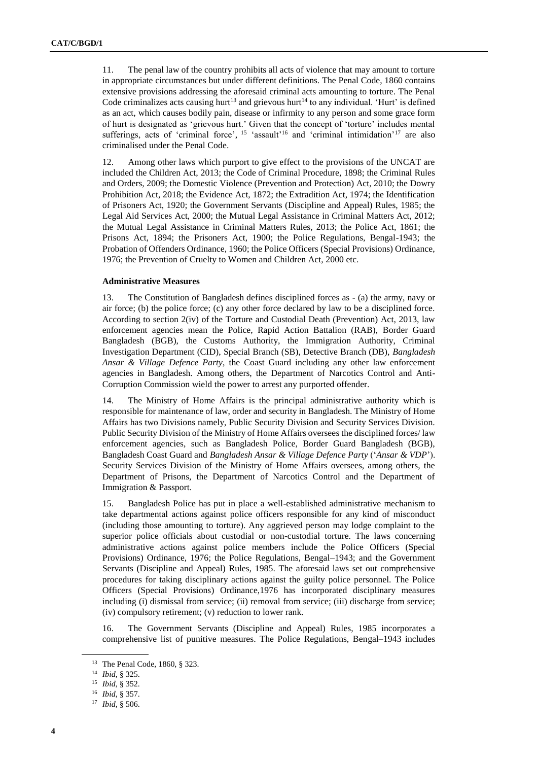11. The penal law of the country prohibits all acts of violence that may amount to torture in appropriate circumstances but under different definitions. The Penal Code, 1860 contains extensive provisions addressing the aforesaid criminal acts amounting to torture. The Penal Code criminalizes acts causing hurt<sup>13</sup> and grievous hurt<sup>14</sup> to any individual. 'Hurt' is defined as an act, which causes bodily pain, disease or infirmity to any person and some grace form of hurt is designated as 'grievous hurt.' Given that the concept of 'torture' includes mental sufferings, acts of 'criminal force',  $15$  'assault'<sup>16</sup> and 'criminal intimidation'<sup>17</sup> are also criminalised under the Penal Code.

12. Among other laws which purport to give effect to the provisions of the UNCAT are included the Children Act, 2013; the Code of Criminal Procedure, 1898; the Criminal Rules and Orders, 2009; the Domestic Violence (Prevention and Protection) Act, 2010; the Dowry Prohibition Act, 2018; the Evidence Act, 1872; the Extradition Act, 1974; the Identification of Prisoners Act, 1920; the Government Servants (Discipline and Appeal) Rules, 1985; the Legal Aid Services Act, 2000; the Mutual Legal Assistance in Criminal Matters Act, 2012; the Mutual Legal Assistance in Criminal Matters Rules, 2013; the Police Act, 1861; the Prisons Act, 1894; the Prisoners Act, 1900; the Police Regulations, Bengal-1943; the Probation of Offenders Ordinance, 1960; the Police Officers (Special Provisions) Ordinance, 1976; the Prevention of Cruelty to Women and Children Act, 2000 etc.

#### **Administrative Measures**

13. The Constitution of Bangladesh defines disciplined forces as - (a) the army, navy or air force; (b) the police force; (c) any other force declared by law to be a disciplined force. According to section 2(iv) of the Torture and Custodial Death (Prevention) Act, 2013, law enforcement agencies mean the Police, Rapid Action Battalion (RAB), Border Guard Bangladesh (BGB), the Customs Authority, the Immigration Authority, Criminal Investigation Department (CID), Special Branch (SB), Detective Branch (DB), *Bangladesh Ansar & Village Defence Party*, the Coast Guard including any other law enforcement agencies in Bangladesh. Among others, the Department of Narcotics Control and Anti-Corruption Commission wield the power to arrest any purported offender.

14. The Ministry of Home Affairs is the principal administrative authority which is responsible for maintenance of law, order and security in Bangladesh. The Ministry of Home Affairs has two Divisions namely, Public Security Division and Security Services Division. Public Security Division of the Ministry of Home Affairs oversees the disciplined forces/ law enforcement agencies, such as Bangladesh Police, Border Guard Bangladesh (BGB), Bangladesh Coast Guard and *Bangladesh Ansar & Village Defence Party* ('*Ansar & VDP*'). Security Services Division of the Ministry of Home Affairs oversees, among others, the Department of Prisons, the Department of Narcotics Control and the Department of Immigration & Passport.

15. Bangladesh Police has put in place a well-established administrative mechanism to take departmental actions against police officers responsible for any kind of misconduct (including those amounting to torture). Any aggrieved person may lodge complaint to the superior police officials about custodial or non-custodial torture. The laws concerning administrative actions against police members include the Police Officers (Special Provisions) Ordinance, 1976; the Police Regulations, Bengal–1943; and the Government Servants (Discipline and Appeal) Rules, 1985. The aforesaid laws set out comprehensive procedures for taking disciplinary actions against the guilty police personnel. The Police Officers (Special Provisions) Ordinance,1976 has incorporated disciplinary measures including (i) dismissal from service; (ii) removal from service; (iii) discharge from service; (iv) compulsory retirement; (v) reduction to lower rank.

16. The Government Servants (Discipline and Appeal) Rules, 1985 incorporates a comprehensive list of punitive measures. The Police Regulations, Bengal–1943 includes

<sup>13</sup> The Penal Code, 1860, § 323.

<sup>14</sup> *Ibid*, § 325.

<sup>15</sup> *Ibid*, § 352.

<sup>16</sup> *Ibid*, § 357.

<sup>17</sup> *Ibid,* § 506.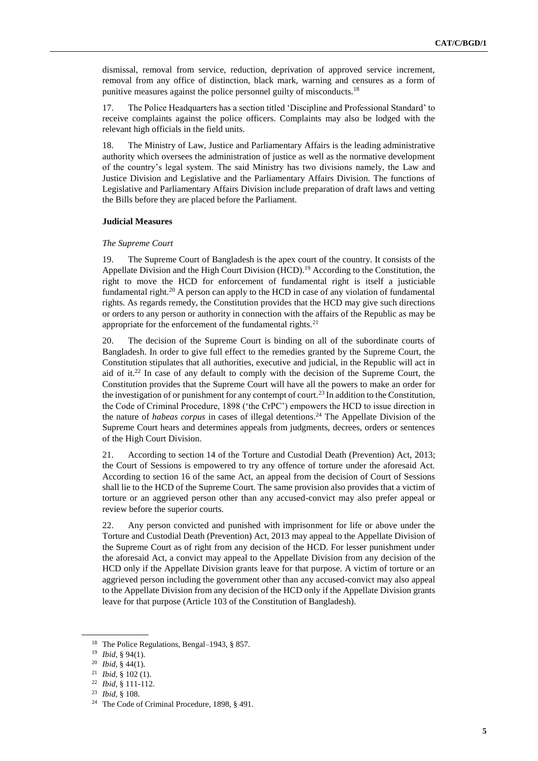dismissal, removal from service, reduction, deprivation of approved service increment, removal from any office of distinction, black mark, warning and censures as a form of punitive measures against the police personnel guilty of misconducts.<sup>18</sup>

17. The Police Headquarters has a section titled 'Discipline and Professional Standard' to receive complaints against the police officers. Complaints may also be lodged with the relevant high officials in the field units.

18. The Ministry of Law, Justice and Parliamentary Affairs is the leading administrative authority which oversees the administration of justice as well as the normative development of the country's legal system. The said Ministry has two divisions namely, the Law and Justice Division and Legislative and the Parliamentary Affairs Division. The functions of Legislative and Parliamentary Affairs Division include preparation of draft laws and vetting the Bills before they are placed before the Parliament.

#### **Judicial Measures**

#### *The Supreme Court*

19. The Supreme Court of Bangladesh is the apex court of the country. It consists of the Appellate Division and the High Court Division (HCD).<sup>19</sup> According to the Constitution, the right to move the HCD for enforcement of fundamental right is itself a justiciable fundamental right.<sup>20</sup> A person can apply to the HCD in case of any violation of fundamental rights. As regards remedy, the Constitution provides that the HCD may give such directions or orders to any person or authority in connection with the affairs of the Republic as may be appropriate for the enforcement of the fundamental rights. $21$ 

20. The decision of the Supreme Court is binding on all of the subordinate courts of Bangladesh. In order to give full effect to the remedies granted by the Supreme Court, the Constitution stipulates that all authorities, executive and judicial, in the Republic will act in aid of it.<sup>22</sup> In case of any default to comply with the decision of the Supreme Court, the Constitution provides that the Supreme Court will have all the powers to make an order for the investigation of or punishment for any contempt of court.<sup>23</sup> In addition to the Constitution, the Code of Criminal Procedure, 1898 ('the CrPC') empowers the HCD to issue direction in the nature of *habeas corpus* in cases of illegal detentions.<sup>24</sup> The Appellate Division of the Supreme Court hears and determines appeals from judgments, decrees, orders or sentences of the High Court Division.

21. According to section 14 of the Torture and Custodial Death (Prevention) Act, 2013; the Court of Sessions is empowered to try any offence of torture under the aforesaid Act. According to section 16 of the same Act, an appeal from the decision of Court of Sessions shall lie to the HCD of the Supreme Court. The same provision also provides that a victim of torture or an aggrieved person other than any accused-convict may also prefer appeal or review before the superior courts.

22. Any person convicted and punished with imprisonment for life or above under the Torture and Custodial Death (Prevention) Act, 2013 may appeal to the Appellate Division of the Supreme Court as of right from any decision of the HCD. For lesser punishment under the aforesaid Act, a convict may appeal to the Appellate Division from any decision of the HCD only if the Appellate Division grants leave for that purpose. A victim of torture or an aggrieved person including the government other than any accused-convict may also appeal to the Appellate Division from any decision of the HCD only if the Appellate Division grants leave for that purpose (Article 103 of the Constitution of Bangladesh).

<sup>&</sup>lt;sup>18</sup> The Police Regulations, Bengal–1943, § 857.

<sup>19</sup> *Ibid*, § 94(1).

<sup>20</sup> *Ibid,* § 44(1).

<sup>21</sup> *Ibid,* § 102 (1).

<sup>22</sup> *Ibid,* § 111-112.

<sup>23</sup> *Ibid,* § 108.

<sup>24</sup> The Code of Criminal Procedure, 1898, § 491.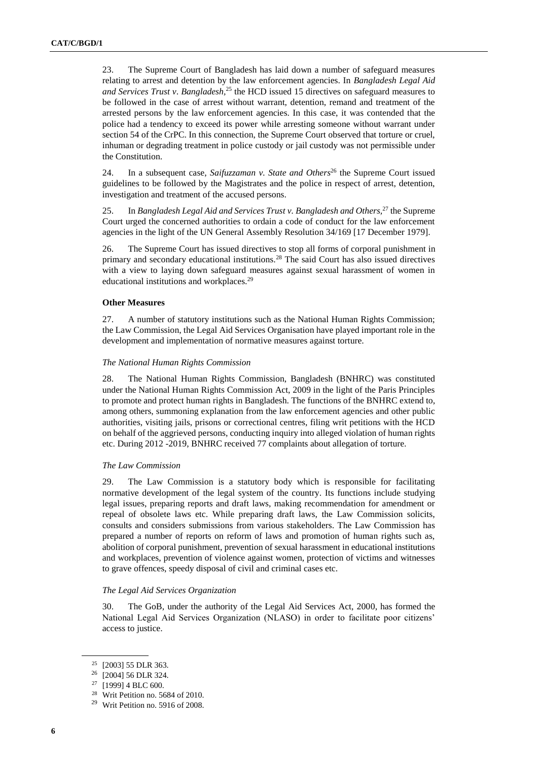23. The Supreme Court of Bangladesh has laid down a number of safeguard measures relating to arrest and detention by the law enforcement agencies. In *Bangladesh Legal Aid and Services Trust v*. *Bangladesh,* <sup>25</sup> the HCD issued 15 directives on safeguard measures to be followed in the case of arrest without warrant, detention, remand and treatment of the arrested persons by the law enforcement agencies. In this case, it was contended that the police had a tendency to exceed its power while arresting someone without warrant under section 54 of the CrPC. In this connection, the Supreme Court observed that torture or cruel, inhuman or degrading treatment in police custody or jail custody was not permissible under the Constitution.

24. In a subsequent case, *Saifuzzaman v. State and Others*<sup>26</sup> the Supreme Court issued guidelines to be followed by the Magistrates and the police in respect of arrest, detention, investigation and treatment of the accused persons.

25. In *Bangladesh Legal Aid and Services Trust v. Bangladesh and Others,* <sup>27</sup> the Supreme Court urged the concerned authorities to ordain a code of conduct for the law enforcement agencies in the light of the UN General Assembly Resolution 34/169 [17 December 1979].

26. The Supreme Court has issued directives to stop all forms of corporal punishment in primary and secondary educational institutions.<sup>28</sup> The said Court has also issued directives with a view to laying down safeguard measures against sexual harassment of women in educational institutions and workplaces.<sup>29</sup>

#### **Other Measures**

27. A number of statutory institutions such as the National Human Rights Commission; the Law Commission, the Legal Aid Services Organisation have played important role in the development and implementation of normative measures against torture.

## *The National Human Rights Commission*

28. The National Human Rights Commission, Bangladesh (BNHRC) was constituted under the National Human Rights Commission Act, 2009 in the light of the Paris Principles to promote and protect human rights in Bangladesh. The functions of the BNHRC extend to, among others, summoning explanation from the law enforcement agencies and other public authorities, visiting jails, prisons or correctional centres, filing writ petitions with the HCD on behalf of the aggrieved persons, conducting inquiry into alleged violation of human rights etc. During 2012 -2019, BNHRC received 77 complaints about allegation of torture.

#### *The Law Commission*

29. The Law Commission is a statutory body which is responsible for facilitating normative development of the legal system of the country. Its functions include studying legal issues, preparing reports and draft laws, making recommendation for amendment or repeal of obsolete laws etc. While preparing draft laws, the Law Commission solicits, consults and considers submissions from various stakeholders. The Law Commission has prepared a number of reports on reform of laws and promotion of human rights such as, abolition of corporal punishment, prevention of sexual harassment in educational institutions and workplaces, prevention of violence against women, protection of victims and witnesses to grave offences, speedy disposal of civil and criminal cases etc.

#### *The Legal Aid Services Organization*

30. The GoB, under the authority of the Legal Aid Services Act, 2000, has formed the National Legal Aid Services Organization (NLASO) in order to facilitate poor citizens' access to justice.

<sup>&</sup>lt;sup>25</sup> [2003] 55 DLR 363.<br><sup>26</sup> [2004] 56 DLR 324

<sup>[2004] 56</sup> DLR 324.

<sup>27</sup> [1999] 4 BLC 600.

<sup>28</sup> Writ Petition no. 5684 of 2010.

<sup>29</sup> Writ Petition no. 5916 of 2008.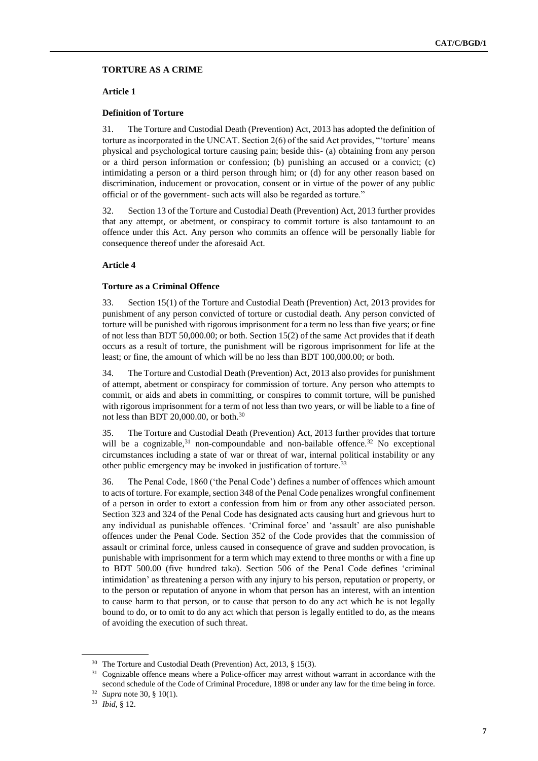## **TORTURE AS A CRIME**

#### **Article 1**

#### **Definition of Torture**

31. The Torture and Custodial Death (Prevention) Act, 2013 has adopted the definition of torture as incorporated in the UNCAT. Section 2(6) of the said Act provides, "'torture' means physical and psychological torture causing pain; beside this- (a) obtaining from any person or a third person information or confession; (b) punishing an accused or a convict; (c) intimidating a person or a third person through him; or (d) for any other reason based on discrimination, inducement or provocation, consent or in virtue of the power of any public official or of the government- such acts will also be regarded as torture."

32. Section 13 of the Torture and Custodial Death (Prevention) Act, 2013 further provides that any attempt, or abetment, or conspiracy to commit torture is also tantamount to an offence under this Act. Any person who commits an offence will be personally liable for consequence thereof under the aforesaid Act.

## **Article 4**

#### **Torture as a Criminal Offence**

33. Section 15(1) of the Torture and Custodial Death (Prevention) Act, 2013 provides for punishment of any person convicted of torture or custodial death. Any person convicted of torture will be punished with rigorous imprisonment for a term no less than five years; or fine of not less than BDT 50,000.00; or both. Section 15(2) of the same Act provides that if death occurs as a result of torture, the punishment will be rigorous imprisonment for life at the least; or fine, the amount of which will be no less than BDT 100,000.00; or both.

34. The Torture and Custodial Death (Prevention) Act, 2013 also provides for punishment of attempt, abetment or conspiracy for commission of torture. Any person who attempts to commit, or aids and abets in committing, or conspires to commit torture, will be punished with rigorous imprisonment for a term of not less than two years, or will be liable to a fine of not less than BDT 20,000.00, or both.<sup>30</sup>

35. The Torture and Custodial Death (Prevention) Act, 2013 further provides that torture will be a cognizable,<sup>31</sup> non-compoundable and non-bailable offence.<sup>32</sup> No exceptional circumstances including a state of war or threat of war, internal political instability or any other public emergency may be invoked in justification of torture.<sup>33</sup>

36. The Penal Code, 1860 ('the Penal Code') defines a number of offences which amount to acts of torture. For example, section 348 of the Penal Code penalizes wrongful confinement of a person in order to extort a confession from him or from any other associated person. Section 323 and 324 of the Penal Code has designated acts causing hurt and grievous hurt to any individual as punishable offences. 'Criminal force' and 'assault' are also punishable offences under the Penal Code. Section 352 of the Code provides that the commission of assault or criminal force, unless caused in consequence of grave and sudden provocation, is punishable with imprisonment for a term which may extend to three months or with a fine up to BDT 500.00 (five hundred taka). Section 506 of the Penal Code defines 'criminal intimidation' as threatening a person with any injury to his person, reputation or property, or to the person or reputation of anyone in whom that person has an interest, with an intention to cause harm to that person, or to cause that person to do any act which he is not legally bound to do, or to omit to do any act which that person is legally entitled to do, as the means of avoiding the execution of such threat.

<sup>30</sup> The Torture and Custodial Death (Prevention) Act, 2013, § 15(3).

<sup>&</sup>lt;sup>31</sup> Cognizable offence means where a Police-officer may arrest without warrant in accordance with the second schedule of the Code of Criminal Procedure, 1898 or under any law for the time being in force.

<sup>32</sup> *Supra* note 30, § 10(1).

<sup>33</sup> *Ibid*, § 12.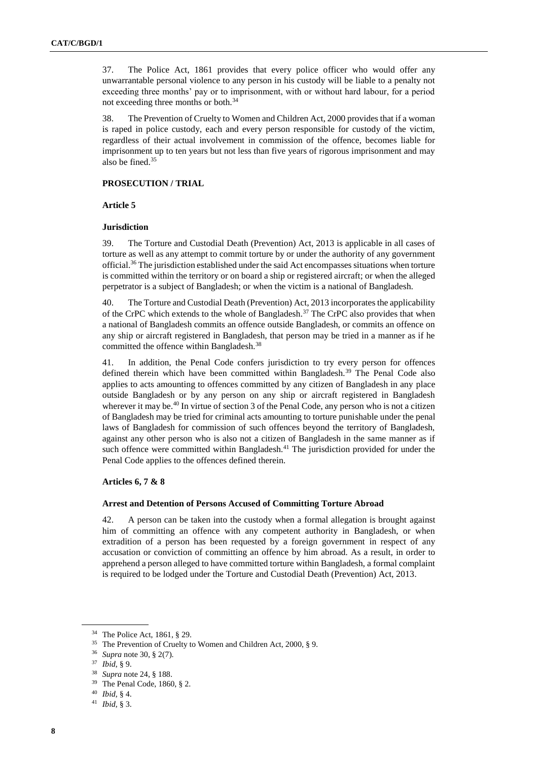37. The Police Act, 1861 provides that every police officer who would offer any unwarrantable personal violence to any person in his custody will be liable to a penalty not exceeding three months' pay or to imprisonment, with or without hard labour, for a period not exceeding three months or both.<sup>34</sup>

38. The Prevention of Cruelty to Women and Children Act, 2000 provides that if a woman is raped in police custody, each and every person responsible for custody of the victim, regardless of their actual involvement in commission of the offence, becomes liable for imprisonment up to ten years but not less than five years of rigorous imprisonment and may also be fined.<sup>35</sup>

#### **PROSECUTION / TRIAL**

#### **Article 5**

## **Jurisdiction**

39. The Torture and Custodial Death (Prevention) Act, 2013 is applicable in all cases of torture as well as any attempt to commit torture by or under the authority of any government official.<sup>36</sup> The jurisdiction established under the said Act encompasses situations when torture is committed within the territory or on board a ship or registered aircraft; or when the alleged perpetrator is a subject of Bangladesh; or when the victim is a national of Bangladesh.

40. The Torture and Custodial Death (Prevention) Act, 2013 incorporates the applicability of the CrPC which extends to the whole of Bangladesh.<sup>37</sup> The CrPC also provides that when a national of Bangladesh commits an offence outside Bangladesh, or commits an offence on any ship or aircraft registered in Bangladesh, that person may be tried in a manner as if he committed the offence within Bangladesh.<sup>38</sup>

41. In addition, the Penal Code confers jurisdiction to try every person for offences defined therein which have been committed within Bangladesh.<sup>39</sup> The Penal Code also applies to acts amounting to offences committed by any citizen of Bangladesh in any place outside Bangladesh or by any person on any ship or aircraft registered in Bangladesh wherever it may be.<sup>40</sup> In virtue of section 3 of the Penal Code, any person who is not a citizen of Bangladesh may be tried for criminal acts amounting to torture punishable under the penal laws of Bangladesh for commission of such offences beyond the territory of Bangladesh, against any other person who is also not a citizen of Bangladesh in the same manner as if such offence were committed within Bangladesh.<sup>41</sup> The jurisdiction provided for under the Penal Code applies to the offences defined therein.

## **Articles 6, 7 & 8**

#### **Arrest and Detention of Persons Accused of Committing Torture Abroad**

42. A person can be taken into the custody when a formal allegation is brought against him of committing an offence with any competent authority in Bangladesh, or when extradition of a person has been requested by a foreign government in respect of any accusation or conviction of committing an offence by him abroad. As a result, in order to apprehend a person alleged to have committed torture within Bangladesh, a formal complaint is required to be lodged under the Torture and Custodial Death (Prevention) Act, 2013.

<sup>34</sup> The Police Act, 1861, § 29.

<sup>35</sup> The Prevention of Cruelty to Women and Children Act, 2000, § 9.

<sup>36</sup> *Supra* note 30, § 2(7).

<sup>37</sup> *Ibid*, § 9.

<sup>38</sup> *Supra* note 24, § 188.

<sup>39</sup> The Penal Code, 1860, § 2.

<sup>40</sup> *Ibid,* § 4.

<sup>41</sup> *Ibid,* § 3.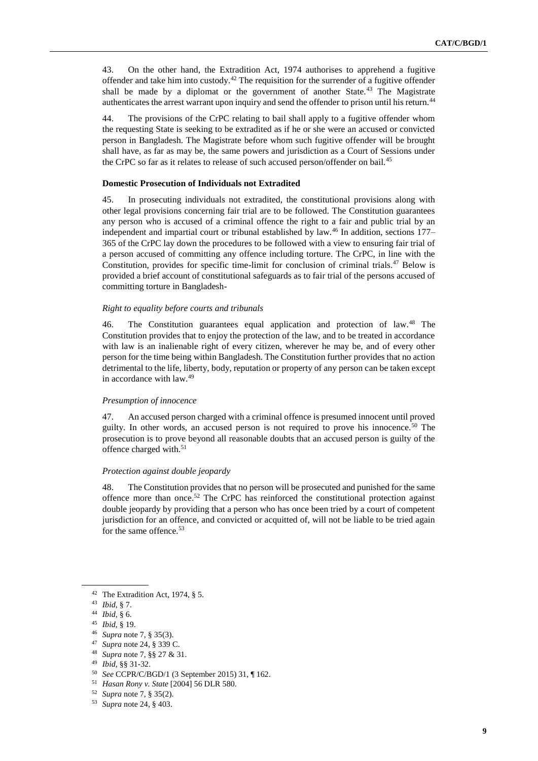43. On the other hand, the Extradition Act, 1974 authorises to apprehend a fugitive offender and take him into custody.<sup>42</sup> The requisition for the surrender of a fugitive offender shall be made by a diplomat or the government of another State.<sup>43</sup> The Magistrate authenticates the arrest warrant upon inquiry and send the offender to prison until his return.<sup>44</sup>

44. The provisions of the CrPC relating to bail shall apply to a fugitive offender whom the requesting State is seeking to be extradited as if he or she were an accused or convicted person in Bangladesh. The Magistrate before whom such fugitive offender will be brought shall have, as far as may be, the same powers and jurisdiction as a Court of Sessions under the CrPC so far as it relates to release of such accused person/offender on bail.<sup>45</sup>

#### **Domestic Prosecution of Individuals not Extradited**

45. In prosecuting individuals not extradited, the constitutional provisions along with other legal provisions concerning fair trial are to be followed. The Constitution guarantees any person who is accused of a criminal offence the right to a fair and public trial by an independent and impartial court or tribunal established by law.<sup>46</sup> In addition, sections 177– 365 of the CrPC lay down the procedures to be followed with a view to ensuring fair trial of a person accused of committing any offence including torture. The CrPC, in line with the Constitution, provides for specific time-limit for conclusion of criminal trials.<sup>47</sup> Below is provided a brief account of constitutional safeguards as to fair trial of the persons accused of committing torture in Bangladesh-

#### *Right to equality before courts and tribunals*

46. The Constitution guarantees equal application and protection of law.<sup>48</sup> The Constitution provides that to enjoy the protection of the law, and to be treated in accordance with law is an inalienable right of every citizen, wherever he may be, and of every other person for the time being within Bangladesh. The Constitution further provides that no action detrimental to the life, liberty, body, reputation or property of any person can be taken except in accordance with law.<sup>49</sup>

## *Presumption of innocence*

47. An accused person charged with a criminal offence is presumed innocent until proved guilty. In other words, an accused person is not required to prove his innocence.<sup>50</sup> The prosecution is to prove beyond all reasonable doubts that an accused person is guilty of the offence charged with.<sup>51</sup>

#### *Protection against double jeopardy*

48. The Constitution provides that no person will be prosecuted and punished for the same offence more than once.<sup>52</sup> The CrPC has reinforced the constitutional protection against double jeopardy by providing that a person who has once been tried by a court of competent jurisdiction for an offence, and convicted or acquitted of, will not be liable to be tried again for the same offence.<sup>53</sup>

- <sup>46</sup> *Supra* note 7, § 35(3).
- <sup>47</sup> *Supra* note 24, § 339 C.
- <sup>48</sup> *Supra* note 7, §§ 27 & 31.

<sup>50</sup> *See* CCPR/C/BGD/1 (3 September 2015) 31, ¶ 162.

<sup>42</sup> The Extradition Act, 1974, § 5.

<sup>43</sup> *Ibid*, § 7.

<sup>44</sup> *Ibid*, § 6.

<sup>45</sup> *Ibid*, § 19.

<sup>49</sup> *Ibid,* §§ 31-32.

<sup>51</sup> *Hasan Rony v. State* [2004] 56 DLR 580.

<sup>52</sup> *Supra* note 7, § 35(2).

<sup>53</sup> *Supra* note 24, § 403.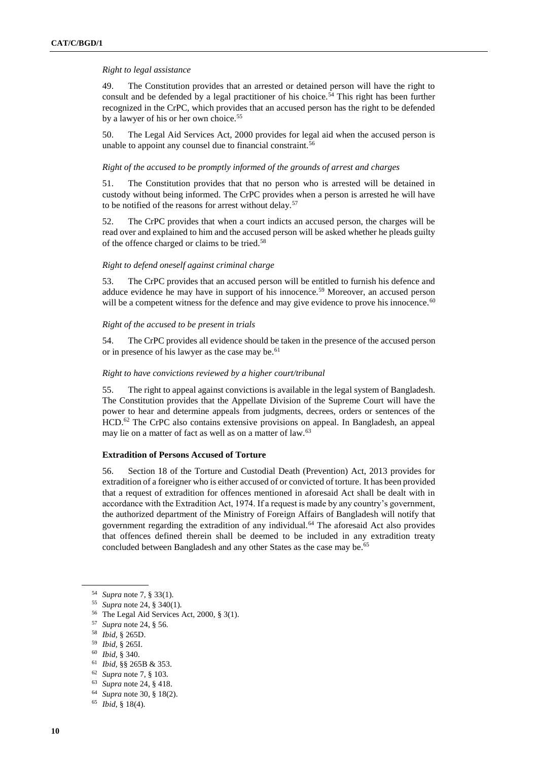## *Right to legal assistance*

49. The Constitution provides that an arrested or detained person will have the right to consult and be defended by a legal practitioner of his choice.<sup>54</sup> This right has been further recognized in the CrPC, which provides that an accused person has the right to be defended by a lawyer of his or her own choice.<sup>55</sup>

50. The Legal Aid Services Act, 2000 provides for legal aid when the accused person is unable to appoint any counsel due to financial constraint.<sup>56</sup>

## *Right of the accused to be promptly informed of the grounds of arrest and charges*

51. The Constitution provides that that no person who is arrested will be detained in custody without being informed. The CrPC provides when a person is arrested he will have to be notified of the reasons for arrest without delay.<sup>57</sup>

52. The CrPC provides that when a court indicts an accused person, the charges will be read over and explained to him and the accused person will be asked whether he pleads guilty of the offence charged or claims to be tried.<sup>58</sup>

## *Right to defend oneself against criminal charge*

53. The CrPC provides that an accused person will be entitled to furnish his defence and adduce evidence he may have in support of his innocence.<sup>59</sup> Moreover, an accused person will be a competent witness for the defence and may give evidence to prove his innocence.<sup>60</sup>

## *Right of the accused to be present in trials*

54. The CrPC provides all evidence should be taken in the presence of the accused person or in presence of his lawyer as the case may be.<sup>61</sup>

## *Right to have convictions reviewed by a higher court/tribunal*

55. The right to appeal against convictions is available in the legal system of Bangladesh. The Constitution provides that the Appellate Division of the Supreme Court will have the power to hear and determine appeals from judgments, decrees, orders or sentences of the HCD.<sup>62</sup> The CrPC also contains extensive provisions on appeal. In Bangladesh, an appeal may lie on a matter of fact as well as on a matter of law.<sup>63</sup>

## **Extradition of Persons Accused of Torture**

56. Section 18 of the Torture and Custodial Death (Prevention) Act, 2013 provides for extradition of a foreigner who is either accused of or convicted of torture. It has been provided that a request of extradition for offences mentioned in aforesaid Act shall be dealt with in accordance with the Extradition Act, 1974. If a request is made by any country's government, the authorized department of the Ministry of Foreign Affairs of Bangladesh will notify that government regarding the extradition of any individual.<sup>64</sup> The aforesaid Act also provides that offences defined therein shall be deemed to be included in any extradition treaty concluded between Bangladesh and any other States as the case may be.<sup>65</sup>

- <sup>59</sup> *Ibid,* § 265I.
- <sup>60</sup> *Ibid,* § 340.

- <sup>62</sup> *Supra* note 7, § 103.
- <sup>63</sup> *Supra* note 24, § 418.
- <sup>64</sup> *Supra* note 30, § 18(2).
- <sup>65</sup> *Ibid*, § 18(4).

<sup>54</sup> *Supra* note 7, § 33(1).

<sup>55</sup> *Supra* note 24, § 340(1).

<sup>56</sup> The Legal Aid Services Act, 2000, § 3(1).

<sup>57</sup> *Supra* note 24, § 56.

<sup>58</sup> *Ibid*, § 265D.

<sup>61</sup> *Ibid,* §§ 265B & 353.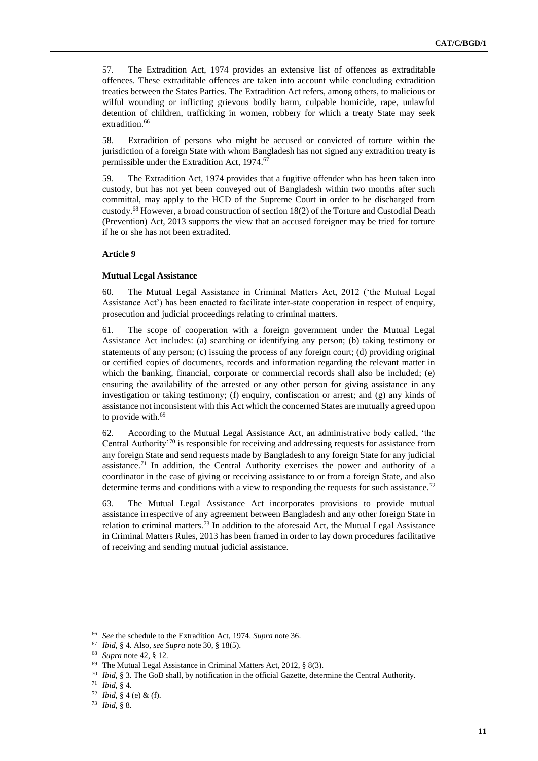57. The Extradition Act, 1974 provides an extensive list of offences as extraditable offences. These extraditable offences are taken into account while concluding extradition treaties between the States Parties. The Extradition Act refers, among others, to malicious or wilful wounding or inflicting grievous bodily harm, culpable homicide, rape, unlawful detention of children, trafficking in women, robbery for which a treaty State may seek extradition.<sup>66</sup>

58. Extradition of persons who might be accused or convicted of torture within the jurisdiction of a foreign State with whom Bangladesh has not signed any extradition treaty is permissible under the Extradition Act, 1974.<sup>67</sup>

59. The Extradition Act, 1974 provides that a fugitive offender who has been taken into custody, but has not yet been conveyed out of Bangladesh within two months after such committal, may apply to the HCD of the Supreme Court in order to be discharged from custody.<sup>68</sup> However, a broad construction of section 18(2) of the Torture and Custodial Death (Prevention) Act, 2013 supports the view that an accused foreigner may be tried for torture if he or she has not been extradited.

## **Article 9**

#### **Mutual Legal Assistance**

60. The Mutual Legal Assistance in Criminal Matters Act, 2012 ('the Mutual Legal Assistance Act') has been enacted to facilitate inter-state cooperation in respect of enquiry, prosecution and judicial proceedings relating to criminal matters.

61. The scope of cooperation with a foreign government under the Mutual Legal Assistance Act includes: (a) searching or identifying any person; (b) taking testimony or statements of any person; (c) issuing the process of any foreign court; (d) providing original or certified copies of documents, records and information regarding the relevant matter in which the banking, financial, corporate or commercial records shall also be included; (e) ensuring the availability of the arrested or any other person for giving assistance in any investigation or taking testimony; (f) enquiry, confiscation or arrest; and (g) any kinds of assistance not inconsistent with this Act which the concerned States are mutually agreed upon to provide with.<sup>69</sup>

62. According to the Mutual Legal Assistance Act, an administrative body called, 'the Central Authority'<sup>70</sup> is responsible for receiving and addressing requests for assistance from any foreign State and send requests made by Bangladesh to any foreign State for any judicial assistance.<sup>71</sup> In addition, the Central Authority exercises the power and authority of a coordinator in the case of giving or receiving assistance to or from a foreign State, and also determine terms and conditions with a view to responding the requests for such assistance.<sup>72</sup>

63. The Mutual Legal Assistance Act incorporates provisions to provide mutual assistance irrespective of any agreement between Bangladesh and any other foreign State in relation to criminal matters.<sup>73</sup> In addition to the aforesaid Act, the Mutual Legal Assistance in Criminal Matters Rules, 2013 has been framed in order to lay down procedures facilitative of receiving and sending mutual judicial assistance.

<sup>66</sup> *See* the schedule to the Extradition Act, 1974. *Supra* note 36.

<sup>67</sup> *Ibid*, § 4. Also, *see Supra* note 30, § 18(5).

<sup>68</sup> *Supra* note 42, § 12.

<sup>69</sup> The Mutual Legal Assistance in Criminal Matters Act, 2012, § 8(3).

<sup>70</sup> *Ibid*, § 3. The GoB shall, by notification in the official Gazette, determine the Central Authority.

<sup>71</sup> *Ibid*, § 4.

<sup>72</sup> *Ibid*, § 4 (e) & (f).

<sup>73</sup> *Ibid*, § 8.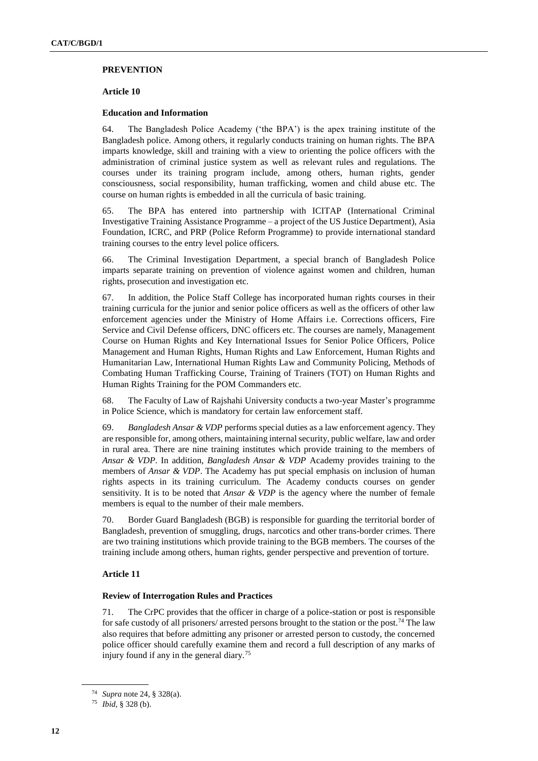#### **PREVENTION**

#### **Article 10**

#### **Education and Information**

64. The Bangladesh Police Academy ('the BPA') is the apex training institute of the Bangladesh police. Among others, it regularly conducts training on human rights. The BPA imparts knowledge, skill and training with a view to orienting the police officers with the administration of criminal justice system as well as relevant rules and regulations. The courses under its training program include, among others, human rights, gender consciousness, social responsibility, human trafficking, women and child abuse etc. The course on human rights is embedded in all the curricula of basic training.

65. The BPA has entered into partnership with ICITAP (International Criminal Investigative Training Assistance Programme – a project of the US Justice Department), Asia Foundation, ICRC, and PRP (Police Reform Programme) to provide international standard training courses to the entry level police officers.

66. The Criminal Investigation Department, a special branch of Bangladesh Police imparts separate training on prevention of violence against women and children, human rights, prosecution and investigation etc.

67. In addition, the Police Staff College has incorporated human rights courses in their training curricula for the junior and senior police officers as well as the officers of other law enforcement agencies under the Ministry of Home Affairs i.e. Corrections officers, Fire Service and Civil Defense officers, DNC officers etc. The courses are namely, Management Course on Human Rights and Key International Issues for Senior Police Officers, Police Management and Human Rights, Human Rights and Law Enforcement, Human Rights and Humanitarian Law, International Human Rights Law and Community Policing, Methods of Combating Human Trafficking Course, Training of Trainers (TOT) on Human Rights and Human Rights Training for the POM Commanders etc.

68. The Faculty of Law of Rajshahi University conducts a two-year Master's programme in Police Science, which is mandatory for certain law enforcement staff.

69. *Bangladesh Ansar & VDP* performs special duties as a law enforcement agency. They are responsible for, among others, maintaining internal security, public welfare, law and order in rural area. There are nine training institutes which provide training to the members of *Ansar & VDP*. In addition, *Bangladesh Ansar & VDP* Academy provides training to the members of *Ansar & VDP*. The Academy has put special emphasis on inclusion of human rights aspects in its training curriculum. The Academy conducts courses on gender sensitivity. It is to be noted that *Ansar & VDP* is the agency where the number of female members is equal to the number of their male members.

70. Border Guard Bangladesh (BGB) is responsible for guarding the territorial border of Bangladesh, prevention of smuggling, drugs, narcotics and other trans-border crimes. There are two training institutions which provide training to the BGB members. The courses of the training include among others, human rights, gender perspective and prevention of torture.

## **Article 11**

#### **Review of Interrogation Rules and Practices**

71. The CrPC provides that the officer in charge of a police-station or post is responsible for safe custody of all prisoners/ arrested persons brought to the station or the post.<sup>74</sup> The law also requires that before admitting any prisoner or arrested person to custody, the concerned police officer should carefully examine them and record a full description of any marks of injury found if any in the general diary.<sup>75</sup>

<sup>74</sup> *Supra* note 24, § 328(a).

<sup>75</sup> *Ibid,* § 328 (b).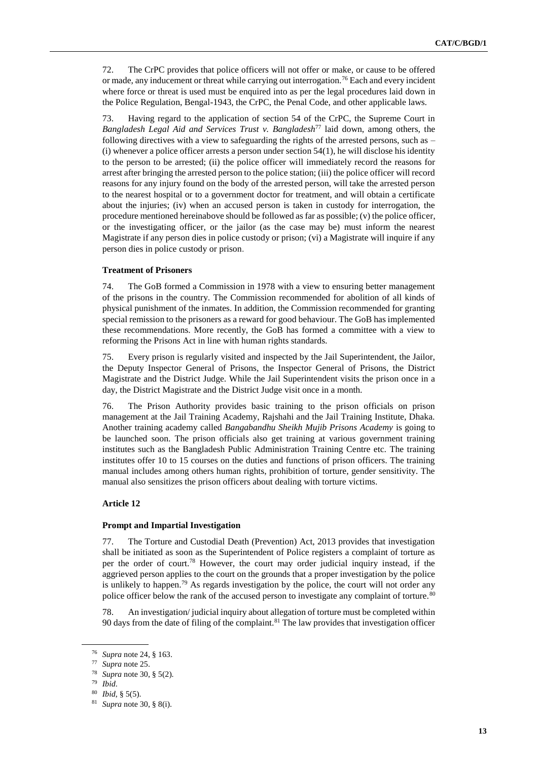72. The CrPC provides that police officers will not offer or make, or cause to be offered or made, any inducement or threat while carrying out interrogation.<sup>76</sup> Each and every incident where force or threat is used must be enquired into as per the legal procedures laid down in the Police Regulation, Bengal-1943, the CrPC, the Penal Code, and other applicable laws.

73. Having regard to the application of section 54 of the CrPC, the Supreme Court in *Bangladesh Legal Aid and Services Trust v. Bangladesh*<sup>77</sup> laid down, among others, the following directives with a view to safeguarding the rights of the arrested persons, such as –  $(i)$  whenever a police officer arrests a person under section  $54(1)$ , he will disclose his identity to the person to be arrested; (ii) the police officer will immediately record the reasons for arrest after bringing the arrested person to the police station; (iii) the police officer will record reasons for any injury found on the body of the arrested person, will take the arrested person to the nearest hospital or to a government doctor for treatment, and will obtain a certificate about the injuries; (iv) when an accused person is taken in custody for interrogation, the procedure mentioned hereinabove should be followed as far as possible;  $(v)$  the police officer, or the investigating officer, or the jailor (as the case may be) must inform the nearest Magistrate if any person dies in police custody or prison; (vi) a Magistrate will inquire if any person dies in police custody or prison.

## **Treatment of Prisoners**

74. The GoB formed a Commission in 1978 with a view to ensuring better management of the prisons in the country. The Commission recommended for abolition of all kinds of physical punishment of the inmates. In addition, the Commission recommended for granting special remission to the prisoners as a reward for good behaviour. The GoB has implemented these recommendations. More recently, the GoB has formed a committee with a view to reforming the Prisons Act in line with human rights standards.

75. Every prison is regularly visited and inspected by the Jail Superintendent, the Jailor, the Deputy Inspector General of Prisons, the Inspector General of Prisons, the District Magistrate and the District Judge. While the Jail Superintendent visits the prison once in a day, the District Magistrate and the District Judge visit once in a month.

76. The Prison Authority provides basic training to the prison officials on prison management at the Jail Training Academy, Rajshahi and the Jail Training Institute, Dhaka. Another training academy called *Bangabandhu Sheikh Mujib Prisons Academy* is going to be launched soon. The prison officials also get training at various government training institutes such as the Bangladesh Public Administration Training Centre etc. The training institutes offer 10 to 15 courses on the duties and functions of prison officers. The training manual includes among others human rights, prohibition of torture, gender sensitivity. The manual also sensitizes the prison officers about dealing with torture victims.

## **Article 12**

## **Prompt and Impartial Investigation**

77. The Torture and Custodial Death (Prevention) Act, 2013 provides that investigation shall be initiated as soon as the Superintendent of Police registers a complaint of torture as per the order of court.<sup>78</sup> However, the court may order judicial inquiry instead, if the aggrieved person applies to the court on the grounds that a proper investigation by the police is unlikely to happen.<sup>79</sup> As regards investigation by the police, the court will not order any police officer below the rank of the accused person to investigate any complaint of torture.<sup>80</sup>

78. An investigation/ judicial inquiry about allegation of torture must be completed within 90 days from the date of filing of the complaint.<sup>81</sup> The law provides that investigation officer

<sup>76</sup> *Supra* note 24, § 163.

Supra note 25.

<sup>78</sup> *Supra* note 30, § 5(2).

<sup>79</sup> *Ibid*.

<sup>80</sup> *Ibid*, § 5(5).

<sup>81</sup> *Supra* note 30, § 8(i).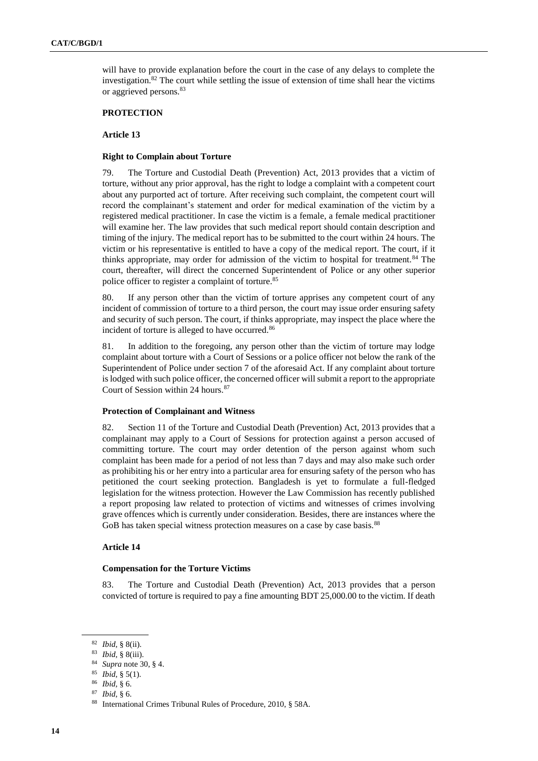will have to provide explanation before the court in the case of any delays to complete the investigation.<sup>82</sup> The court while settling the issue of extension of time shall hear the victims or aggrieved persons.<sup>83</sup>

## **PROTECTION**

## **Article 13**

#### **Right to Complain about Torture**

79. The Torture and Custodial Death (Prevention) Act, 2013 provides that a victim of torture, without any prior approval, has the right to lodge a complaint with a competent court about any purported act of torture. After receiving such complaint, the competent court will record the complainant's statement and order for medical examination of the victim by a registered medical practitioner. In case the victim is a female, a female medical practitioner will examine her. The law provides that such medical report should contain description and timing of the injury. The medical report has to be submitted to the court within 24 hours. The victim or his representative is entitled to have a copy of the medical report. The court, if it thinks appropriate, may order for admission of the victim to hospital for treatment.<sup>84</sup> The court, thereafter, will direct the concerned Superintendent of Police or any other superior police officer to register a complaint of torture.<sup>85</sup>

80. If any person other than the victim of torture apprises any competent court of any incident of commission of torture to a third person, the court may issue order ensuring safety and security of such person. The court, if thinks appropriate, may inspect the place where the incident of torture is alleged to have occurred.<sup>86</sup>

81. In addition to the foregoing, any person other than the victim of torture may lodge complaint about torture with a Court of Sessions or a police officer not below the rank of the Superintendent of Police under section 7 of the aforesaid Act. If any complaint about torture is lodged with such police officer, the concerned officer will submit a report to the appropriate Court of Session within 24 hours. $87$ 

#### **Protection of Complainant and Witness**

82. Section 11 of the Torture and Custodial Death (Prevention) Act, 2013 provides that a complainant may apply to a Court of Sessions for protection against a person accused of committing torture. The court may order detention of the person against whom such complaint has been made for a period of not less than 7 days and may also make such order as prohibiting his or her entry into a particular area for ensuring safety of the person who has petitioned the court seeking protection. Bangladesh is yet to formulate a full-fledged legislation for the witness protection. However the Law Commission has recently published a report proposing law related to protection of victims and witnesses of crimes involving grave offences which is currently under consideration. Besides, there are instances where the GoB has taken special witness protection measures on a case by case basis.<sup>88</sup>

#### **Article 14**

#### **Compensation for the Torture Victims**

83. The Torture and Custodial Death (Prevention) Act, 2013 provides that a person convicted of torture is required to pay a fine amounting BDT 25,000.00 to the victim. If death

<sup>82</sup> *Ibid*, § 8(ii).

<sup>83</sup> *Ibid*, § 8(iii).

<sup>84</sup> *Supra* note 30, § 4.

<sup>85</sup> *Ibid*, § 5(1).

<sup>86</sup> *Ibid,* § 6.

<sup>87</sup> *Ibid*, § 6.

<sup>88</sup> International Crimes Tribunal Rules of Procedure, 2010, § 58A.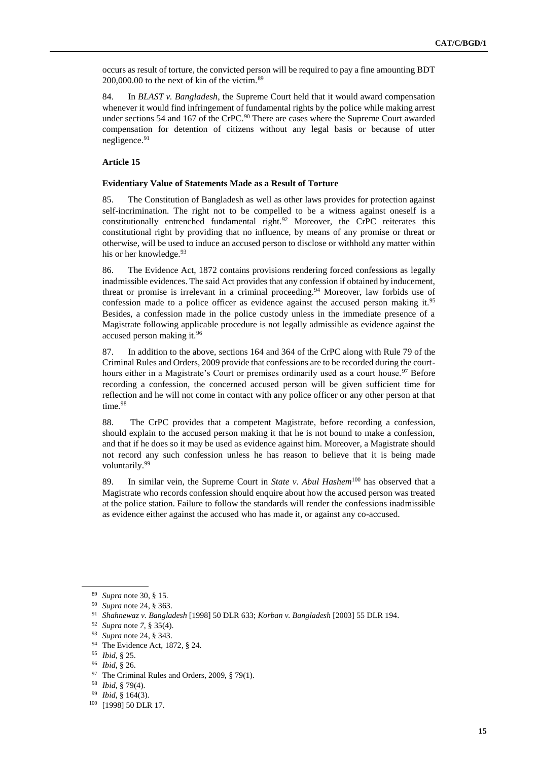occurs as result of torture, the convicted person will be required to pay a fine amounting BDT 200,000.00 to the next of kin of the victim.<sup>89</sup>

84. In *BLAST v. Bangladesh*, the Supreme Court held that it would award compensation whenever it would find infringement of fundamental rights by the police while making arrest under sections 54 and 167 of the CrPC.<sup>90</sup> There are cases where the Supreme Court awarded compensation for detention of citizens without any legal basis or because of utter negligence.<sup>91</sup>

## **Article 15**

#### **Evidentiary Value of Statements Made as a Result of Torture**

85. The Constitution of Bangladesh as well as other laws provides for protection against self-incrimination. The right not to be compelled to be a witness against oneself is a constitutionally entrenched fundamental right.<sup>92</sup> Moreover, the CrPC reiterates this constitutional right by providing that no influence, by means of any promise or threat or otherwise, will be used to induce an accused person to disclose or withhold any matter within his or her knowledge.<sup>93</sup>

86. The Evidence Act, 1872 contains provisions rendering forced confessions as legally inadmissible evidences. The said Act provides that any confession if obtained by inducement, threat or promise is irrelevant in a criminal proceeding.<sup>94</sup> Moreover, law forbids use of confession made to a police officer as evidence against the accused person making it.<sup>95</sup> Besides, a confession made in the police custody unless in the immediate presence of a Magistrate following applicable procedure is not legally admissible as evidence against the accused person making it.<sup>96</sup>

87. In addition to the above, sections 164 and 364 of the CrPC along with Rule 79 of the Criminal Rules and Orders, 2009 provide that confessions are to be recorded during the courthours either in a Magistrate's Court or premises ordinarily used as a court house.<sup>97</sup> Before recording a confession, the concerned accused person will be given sufficient time for reflection and he will not come in contact with any police officer or any other person at that time.<sup>98</sup>

88. The CrPC provides that a competent Magistrate, before recording a confession, should explain to the accused person making it that he is not bound to make a confession, and that if he does so it may be used as evidence against him. Moreover, a Magistrate should not record any such confession unless he has reason to believe that it is being made voluntarily.<sup>99</sup>

89. In similar vein, the Supreme Court in *State v*. *Abul Hashem*<sup>100</sup> has observed that a Magistrate who records confession should enquire about how the accused person was treated at the police station. Failure to follow the standards will render the confessions inadmissible as evidence either against the accused who has made it, or against any co-accused.

<sup>89</sup> *Supra* note 30, § 15.

<sup>90</sup> *Supra* note 24, § 363.

<sup>91</sup> *Shahnewaz v. Bangladesh* [1998] 50 DLR 633; *Korban v. Bangladesh* [2003] 55 DLR 194.

<sup>92</sup> *Supra* note *7*, § 35(4).

<sup>93</sup> *Supra* note 24, § 343.

<sup>94</sup> The Evidence Act, 1872, § 24.

<sup>95</sup> *Ibid*, § 25.

<sup>96</sup> *Ibid*, § 26.

<sup>&</sup>lt;sup>97</sup> The Criminal Rules and Orders, 2009, § 79(1).

<sup>98</sup> *Ibid*, § 79(4).

<sup>99</sup> *Ibid*, § 164(3).

<sup>100</sup> [1998] 50 DLR 17.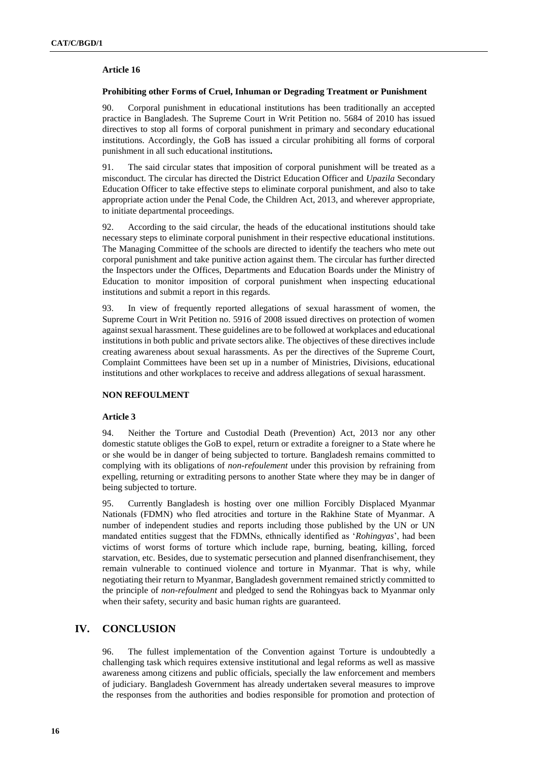## **Article 16**

#### **Prohibiting other Forms of Cruel, Inhuman or Degrading Treatment or Punishment**

90. Corporal punishment in educational institutions has been traditionally an accepted practice in Bangladesh. The Supreme Court in Writ Petition no. 5684 of 2010 has issued directives to stop all forms of corporal punishment in primary and secondary educational institutions. Accordingly, the GoB has issued a circular prohibiting all forms of corporal punishment in all such educational institutions**.** 

91. The said circular states that imposition of corporal punishment will be treated as a misconduct. The circular has directed the District Education Officer and *Upazila* Secondary Education Officer to take effective steps to eliminate corporal punishment, and also to take appropriate action under the Penal Code, the Children Act, 2013, and wherever appropriate, to initiate departmental proceedings.

92. According to the said circular, the heads of the educational institutions should take necessary steps to eliminate corporal punishment in their respective educational institutions. The Managing Committee of the schools are directed to identify the teachers who mete out corporal punishment and take punitive action against them. The circular has further directed the Inspectors under the Offices, Departments and Education Boards under the Ministry of Education to monitor imposition of corporal punishment when inspecting educational institutions and submit a report in this regards.

93. In view of frequently reported allegations of sexual harassment of women, the Supreme Court in Writ Petition no. 5916 of 2008 issued directives on protection of women against sexual harassment. These guidelines are to be followed at workplaces and educational institutions in both public and private sectors alike. The objectives of these directives include creating awareness about sexual harassments. As per the directives of the Supreme Court, Complaint Committees have been set up in a number of Ministries, Divisions, educational institutions and other workplaces to receive and address allegations of sexual harassment.

#### **NON REFOULMENT**

#### **Article 3**

94. Neither the Torture and Custodial Death (Prevention) Act, 2013 nor any other domestic statute obliges the GoB to expel, return or extradite a foreigner to a State where he or she would be in danger of being subjected to torture. Bangladesh remains committed to complying with its obligations of *non-refoulement* under this provision by refraining from expelling, returning or extraditing persons to another State where they may be in danger of being subjected to torture.

95. Currently Bangladesh is hosting over one million Forcibly Displaced Myanmar Nationals (FDMN) who fled atrocities and torture in the Rakhine State of Myanmar. A number of independent studies and reports including those published by the UN or UN mandated entities suggest that the FDMNs, ethnically identified as '*Rohingyas*', had been victims of worst forms of torture which include rape, burning, beating, killing, forced starvation, etc. Besides, due to systematic persecution and planned disenfranchisement, they remain vulnerable to continued violence and torture in Myanmar. That is why, while negotiating their return to Myanmar, Bangladesh government remained strictly committed to the principle of *non-refoulment* and pledged to send the Rohingyas back to Myanmar only when their safety, security and basic human rights are guaranteed.

# **IV. CONCLUSION**

96. The fullest implementation of the Convention against Torture is undoubtedly a challenging task which requires extensive institutional and legal reforms as well as massive awareness among citizens and public officials, specially the law enforcement and members of judiciary. Bangladesh Government has already undertaken several measures to improve the responses from the authorities and bodies responsible for promotion and protection of